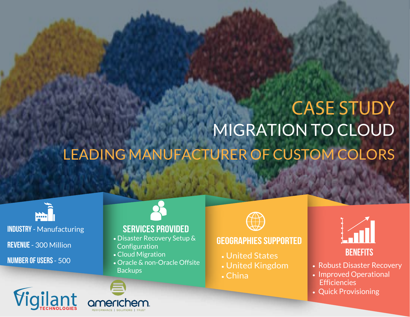# MIGRATION TO CLOUD LEADING MANUFACTURER OF CUSTOM COLORS CASE STUDY



INDUSTRY - Manufacturing REVENUE - 300 Million NUMBER OF USERS - 500

Vigilant

#### Services provided

- Disaster Recovery Setup & Configuration
- •Cloud Migration
- •Oracle & non-Oracle Offsite **Backups**



#### Geographies supported

- United States
- United Kingdom
- China



- Robust Disaster Recovery
- Improved Operational **Efficiencies**
- Quick Provisioning